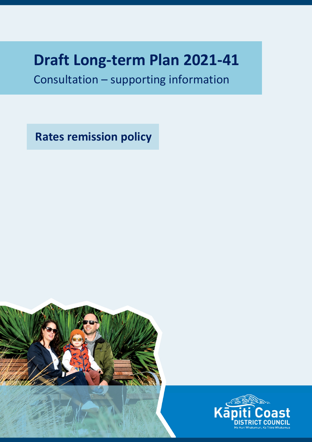## **Draft Long-term Plan 2021-41**

Consultation – supporting information

**Rates remission policy**



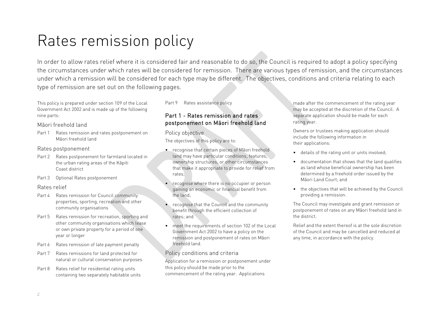# Rates remission policy

In order to allow rates relief where it is considered fair and reasonable to do so, the Council is required to adopt a policy specifying the circumstances under which rates will be considered for remission. There are various types of remission, and the circumstances under which a remission will be considered for each type may be different. The objectives, conditions and criteria relating to each type of remission are set out on the following pages.

This policy is prepared under section 109 of the Local Government Act 2002 and is made up of the following nine parts:

#### Māori freehold land

Part 1 Rates remission and rates postponement on Māori freehold land

#### Rates postponement

- Part 2 Rates postponement for farmland located in the urban rating areas of the Kāpiti Coast district
- Part 3 Optional Rates postponement

#### Rates relief

- Part 4 Rates remission for Council community properties, sporting, recreation and other community organisations
- Part 5 Rates remission for recreation, sporting and other community organisations which lease or own private property for a period of one year or longer
- Part 6 Rates remission of late payment penalty
- Part 7 Rates remissions for land protected for natural or cultural conservation purposes
- Part 8 Rates relief for residential rating units containing two separately habitable units

#### Part 9 Rates assistance policy

## Part 1 - Rates remission and rates postponement on Māori freehold land

#### Policy objective

The objectives of this policy are to:

- recognise that certain pieces of Māori freehold land may have particular conditions, features, ownership structures, or other circumstances that make it appropriate to provide for relief from rates;
- recognise where there is no occupier or person gaining an economic or financial benefit from the land;
- recognise that the Council and the community benefit through the efficient collection of rates; and
- meet the requirements of section 102 of the Local Government Act 2002 to have a policy on the remission and postponement of rates on Māori freehold land.

## Policy conditions and criteria

Application for a remission or postponement under this policy should be made prior to the commencement of the rating year. Applications

made after the commencement of the rating year may be accepted at the discretion of the Council. A separate application should be made for each rating year.

Owners or trustees making application should include the following information in their applications:

- details of the rating unit or units involved;
- documentation that shows that the land qualifies as land whose beneficial ownership has been determined by a freehold order issued by the Māori Land Court; and
- the objectives that will be achieved by the Council providing a remission.

The Council may investigate and grant remission or postponement of rates on any Māori freehold land in the district.

Relief and the extent thereof is at the sole discretion of the Council and may be cancelled and reduced at any time, in accordance with the policy.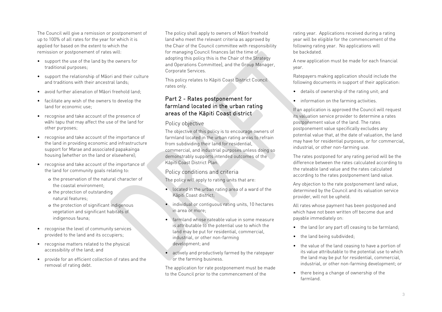The Council will give a remission or postponement of up to 100% of all rates for the year for which it is applied for based on the extent to which the remission or postponement of rates will:

- support the use of the land by the owners for traditional purposes;
- support the relationship of Māori and their culture and traditions with their ancestral lands;
- avoid further alienation of Māori freehold land;
- facilitate any wish of the owners to develop the land for economic use;
- recognise and take account of the presence of wāhi tapu that may affect the use of the land for other purposes;
- recognise and take account of the importance of the land in providing economic and infrastructure support for Marae and associated papakainga housing (whether on the land or elsewhere);
- recognise and take account of the importance of the land for community goals relating to:
	- o the preservation of the natural character of the coastal environment;
	- o the protection of outstanding natural features;
	- o the protection of significant indigenous vegetation and significant habitats of indigenous fauna;
- recognise the level of community services provided to the land and its occupiers;
- recognise matters related to the physical accessibility of the land; and
- provide for an efficient collection of rates and the removal of rating debt.

The policy shall apply to owners of Māori freehold land who meet the relevant criteria as approved by the Chair of the Council committee with responsibility for managing Council finances (at the time of adopting this policy this is the Chair of the Strategy and Operations Committee), and the Group Manager, Corporate Services.

This policy relates to Kāpiti Coast District Council rates only.

## Part 2 - Rates postponement for farmland located in the urban rating areas of the Kāpiti Coast district

#### Policy objective

The objective of this policy is to encourage owners of farmland located in the urban rating areas to refrain from subdividing their land for residential, commercial, and industrial purposes unless doing so demonstrably supports intended outcomes of the Kāpiti Coast District Plan.

## Policy conditions and criteria

The policy will apply to rating units that are:

- located in the urban rating area of a ward of the Kāpiti Coast district;
- individual or contiguous rating units, 10 hectares in area or more;
- farmland whose rateable value in some measure is attributable to the potential use to which the land may be put for residential, commercial, industrial, or other non-farming development; and
- actively and productively farmed by the ratepayer or the farming business.

The application for rate postponement must be made to the Council prior to the commencement of the

rating year. Applications received during a rating year will be eligible for the commencement of the following rating year. No applications will be backdated.

A new application must be made for each financial year.

Ratepayers making application should include the following documents in support of their application:

- details of ownership of the rating unit; and
- information on the farming activities.

If an application is approved the Council will request its valuation service provider to determine a rates postponement value of the land. The rates postponement value specifically excludes any potential value that, at the date of valuation, the land may have for residential purposes, or for commercial, industrial, or other non-farming use.

The rates postponed for any rating period will be the difference between the rates calculated according to the rateable land value and the rates calculated according to the rates postponement land value.

Any objection to the rate postponement land value, determined by the Council and its valuation service provider, will not be upheld.

All rates whose payment has been postponed and which have not been written off become due and payable immediately on:

- the land (or any part of) ceasing to be farmland;
- the land being subdivided;
- the value of the land ceasing to have a portion of its value attributable to the potential use to which the land may be put for residential, commercial, industrial, or other non-farming development; or
- there being a change of ownership of the farmland.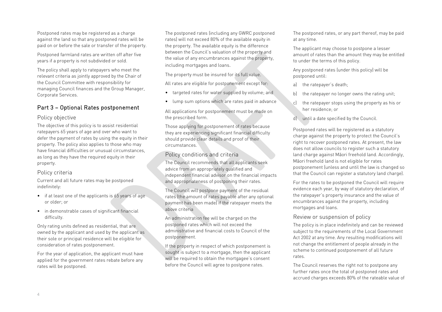Postponed rates may be registered as a charge against the land so that any postponed rates will be paid on or before the sale or transfer of the property.

Postponed farmland rates are written off after five years if a property is not subdivided or sold.

The policy shall apply to ratepayers who meet the relevant criteria as jointly approved by the Chair of the Council Committee with responsibility for managing Council finances and the Group Manager, Corporate Services.

## Part 3 – Optional Rates postponement

#### Policy objective

The objective of this policy is to assist residential ratepayers 65 years of age and over who want to defer the payment of rates by using the equity in their property. The policy also applies to those who may have financial difficulties or unusual circumstances, as long as they have the required equity in their property.

## Policy criteria

Current and all future rates may be postponed indefinitely:

- if at least one of the applicants is 65 years of age or older; or
- in demonstrable cases of significant financial difficulty.

Only rating units defined as residential, that are owned by the applicant and used by the applicant as their sole or principal residence will be eligible for consideration of rates postponement.

For the year of application, the applicant must have applied for the government rates rebate before any rates will be postponed.

The postponed rates (including any GWRC postponed rates) will not exceed 80% of the available equity in the property. The available equity is the difference between the Council's valuation of the property and the value of any encumbrances against the property, including mortgages and loans.

The property must be insured for its full value.

All rates are eligible for postponement except for:

- targeted rates for water supplied by volume; and
- lump sum options which are rates paid in advance

All applications for postponement must be made on the prescribed form.

Those applying for postponement of rates because they are experiencing significant financial difficulty should provide clear details and proof of their circumstances.

#### Policy conditions and criteria

The Council recommends that all applicants seek advice from an appropriately qualified and independent financial advisor on the financial impacts and appropriateness of postponing their rates.

The Council will postpone payment of the residual rates (the amount of rates payable after any optional payment has been made) if the ratepayer meets the above criteria

An administration fee will be charged on the postponed rates which will not exceed the administrative and financial costs to Council of the postponement.

If the property in respect of which postponement is sought is subject to a mortgage, then the applicant will be required to obtain the mortgagee's consent before the Council will agree to postpone rates.

The postponed rates, or any part thereof, may be paid at any time.

The applicant may choose to postpone a lesser amount of rates than the amount they may be entitled to under the terms of this policy.

Any postponed rates (under this policy) will be postponed until:

- a) the ratepayer's death;
- b) the ratepayer no longer owns the rating unit:
- c) the ratepayer stops using the property as his or her residence; or
- d) until a date specified by the Council.

Postponed rates will be registered as a statutory charge against the property to protect the Council's right to recover postponed rates. At present, the law does not allow councils to register such a statutory land charge against Māori freehold land. Accordingly, Māori freehold land is not eligible for rates postponement (unless and until the law is changed so that the Council can register a statutory land charge).

For the rates to be postponed the Council will require evidence each year, by way of statutory declaration, of the ratepayer's property insurance and the value of encumbrances against the property, including mortgages and loans.

## Review or suspension of policy

The policy is in place indefinitely and can be reviewed subject to the requirements of the Local Government Act 2002 at any time. Any resulting modifications will not change the entitlement of people already in the scheme to continued postponement of all future rates.

The Council reserves the right not to postpone any further rates once the total of postponed rates and accrued charges exceeds 80% of the rateable value of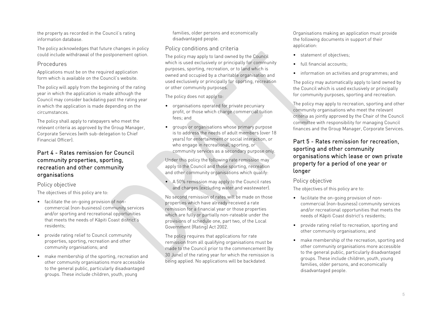the property as recorded in the Council's rating information database.

The policy acknowledges that future changes in policy could include withdrawal of the postponement option.

#### Procedures

Applications must be on the required application form which is available on the Council's website.

The policy will apply from the beginning of the rating year in which the application is made although the Council may consider backdating past the rating year in which the application is made depending on the circumstances.

The policy shall apply to ratepayers who meet the relevant criteria as approved by the Group Manager, Corporate Services (with sub-delegation to Chief Financial Officer).

## Part 4 - Rates remission for Council community properties, sporting, recreation and other community organisations

## Policy objective

The objectives of this policy are to:

- facilitate the on-going provision of noncommercial (non-business) community services and/or sporting and recreational opportunities that meets the needs of Kāpiti Coast district's residents;
- provide rating relief to Council community properties, sporting, recreation and other community organisations; and
- make membership of the sporting, recreation and other community organisations more accessible to the general public, particularly disadvantaged groups. These include children, youth, young

families, older persons and economically disadvantaged people.

## Policy conditions and criteria

The policy may apply to land owned by the Council which is used exclusively or principally for community purposes, sporting, recreation, or to land which is owned and occupied by a charitable organisation and used exclusively or principally for sporting, recreation or other community purposes.

The policy does not apply to:

- organisations operated for private pecuniary profit, or those which charge commercial tuition fees; and
- groups or organisations whose primary purpose is to address the needs of adult members (over 18 years) for entertainment or social interaction, or who engage in recreational, sporting, or community services as a secondary purpose only.

Under this policy the following rate remission may apply to the Council and those sporting, recreation and other community organisations which qualify:

• A 50% remission may apply to the Council rates and charges (excluding water and wastewater).

No second remission of rates will be made on those properties which have already received a rate remission for a financial year or those properties which are fully or partially non-rateable under the provisions of schedule one, part two, of the Local Government (Rating) Act 2002.

The policy requires that applications for rate remission from all qualifying organisations must be made to the Council prior to the commencement (by 30 June) of the rating year for which the remission is being applied. No applications will be backdated.

Organisations making an application must provide the following documents in support of their application:

- statement of objectives;
- full financial accounts;
- information on activities and programmes; and

The policy may automatically apply to land owned by the Council which is used exclusively or principally for community purposes, sporting and recreation.

The policy may apply to recreation, sporting and other community organisations who meet the relevant criteria as jointly approved by the Chair of the Council committee with responsibility for managing Council finances and the Group Manager, Corporate Services.

## Part 5 - Rates remission for recreation, sporting and other community organisations which lease or own private property for a period of one year or longer

## Policy objective

The objectives of this policy are to:

- facilitate the on-going provision of noncommercial (non-business) community services and/or recreational opportunities that meets the needs of Kāpiti Coast district's residents;
- provide rating relief to recreation, sporting and other community organisations; and
- make membership of the recreation, sporting and other community organisations more accessible to the general public, particularly disadvantaged groups. These include children, youth, young families, older persons, and economically disadvantaged people.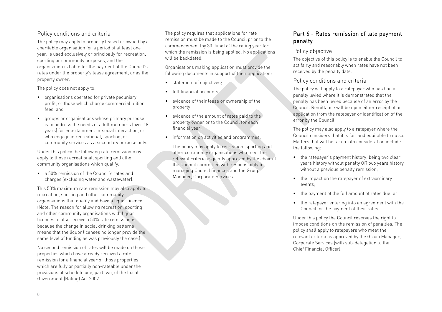## Policy conditions and criteria

The policy may apply to property leased or owned by a charitable organisation for a period of at least one year, is used exclusively or principally for recreation, sporting or community purposes, and the organisation is liable for the payment of the Council's rates under the property's lease agreement, or as the property owner.

The policy does not apply to:

- organisations operated for private pecuniary profit, or those which charge commercial tuition fees; and
- groups or organisations whose primary purpose is to address the needs of adult members (over 18 years) for entertainment or social interaction, or who engage in recreational, sporting, or community services as a secondary purpose only.

Under this policy the following rate remission may apply to those recreational, sporting and other community organisations which qualify:

• a 50% remission of the Council's rates and charges (excluding water and wastewater).

This 50% maximum rate remission may also apply to recreation, sporting and other community organisations that qualify and have a liquor licence. (Note: The reason for allowing recreation, sporting and other community organisations with liquor licences to also receive a 50% rate remission is because the change in social drinking patterns means that the liquor licenses no longer provide the same level of funding as was previously the case.)

No second remission of rates will be made on those properties which have already received a rate remission for a financial year or those properties which are fully or partially non-rateable under the provisions of schedule one, part two, of the Local Government (Rating) Act 2002.

The policy requires that applications for rate remission must be made to the Council prior to the commencement (by 30 June) of the rating year for which the remission is being applied. No applications will be backdated.

Organisations making application must provide the following documents in support of their application:

- statement of objectives;
- full financial accounts;
- evidence of their lease or ownership of the property;
- evidence of the amount of rates paid to the property owner or to the Council for each financial year;
- information on activities and programmes;

The policy may apply to recreation, sporting and other community organisations who meet the relevant criteria as jointly approved by the chair of the Council committee with responsibility for managing Council finances and the Group Manager, Corporate Services.

## Part 6 - Rates remission of late payment penalty

#### Policy objective

The objective of this policy is to enable the Council to act fairly and reasonably when rates have not been received by the penalty date.

#### Policy conditions and criteria

The policy will apply to a ratepayer who has had a penalty levied where it is demonstrated that the penalty has been levied because of an error by the Council. Remittance will be upon either receipt of an application from the ratepayer or identification of the error by the Council.

The policy may also apply to a ratepayer where the Council considers that it is fair and equitable to do so. Matters that will be taken into consideration include the following:

- the ratepayer's payment history; being two clear years history without penalty OR two years history without a previous penalty remission;
- the impact on the ratepayer of extraordinary events;
- the payment of the full amount of rates due; or
- the ratepayer entering into an agreement with the Council for the payment of their rates.

Under this policy the Council reserves the right to impose conditions on the remission of penalties. The policy shall apply to ratepayers who meet the relevant criteria as approved by the Group Manager, Corporate Services (with sub-delegation to the Chief Financial Officer).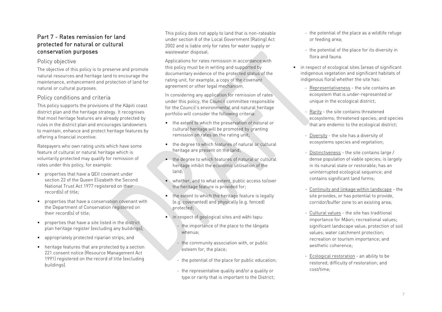## Part 7 - Rates remission for land protected for natural or cultural conservation purposes

## Policy objective

The objective of this policy is to preserve and promote natural resources and heritage land to encourage the maintenance, enhancement and protection of land for natural or cultural purposes.

## Policy conditions and criteria

This policy supports the provisions of the Kāpiti coast district plan and the heritage strategy. It recognises that most heritage features are already protected by rules in the district plan and encourages landowners to maintain, enhance and protect heritage features by offering a financial incentive.

Ratepayers who own rating units which have some feature of cultural or natural heritage which is voluntarily protected may qualify for remission of rates under this policy, for example:

- properties that have a QEII covenant under section 22 of the Queen Elizabeth the Second National Trust Act 1977 registered on their record(s) of title;
- properties that have a conservation covenant with the Department of Conservation registered on their record(s) of title;
- properties that have a site listed in the district plan heritage register (excluding any buildings);
- appropriately protected riparian strips; and
- heritage features that are protected by a section 221 consent notice (Resource Management Act 1991) registered on the record of title (excluding buildings).

This policy does not apply to land that is non-rateable under section 8 of the Local Government (Rating) Act 2002 and is liable only for rates for water supply or wastewater disposal.

Applications for rates remission in accordance with this policy must be in writing and supported by documentary evidence of the protected status of the rating unit, for example, a copy of the covenant agreement or other legal mechanism.

In considering any application for remission of rates under this policy, the Council committee responsible for the Council's environmental and natural heritage portfolio will consider the following criteria:

- the extent to which the preservation of natural or cultural heritage will be promoted by granting remission on rates on the rating unit;
- the degree to which features of natural or cultural heritage are present on the land;
- the degree to which features of natural or cultural heritage inhibit the economic utilisation of the land;
- whether, and to what extent, public access to/over the heritage feature is provided for;
- the extent to which the heritage feature is legally (e.g. covenanted) and physically (e.g. fenced) protected;
- in respect of geological sites and wāhi tapu:
	- the importance of the place to the tāngata whenua;
	- the community association with, or public esteem for, the place;
	- the potential of the place for public education;
	- the representative quality and/or a quality or type or rarity that is important to the District;
- the potential of the place as a wildlife refuge or feeding area;
- the potential of the place for its diversity in flora and fauna.
- in respect of ecological sites (areas of significant indigenous vegetation and significant habitats of indigenous flora) whether the site has:
	- Representativeness the site contains an ecosystem that is under-represented or unique in the ecological district:
	- Rarity the site contains threatened ecosystems; threatened species; and species that are endemic to the ecological district;
	- Diversity the site has a diversity of ecosystems species and vegetation;
	- Distinctiveness the site contains large / dense population of viable species; is largely in its natural state or restorable; has an uninterrupted ecological sequence; and contains significant land forms;
	- Continuity and linkage within landscape the site provides, or has potential to provide, corridor/buffer zone to an existing area;
	- Cultural values the site has traditional importance for Māori; recreational values; significant landscape value; protection of soil values; water catchment protection; recreation or tourism importance; and aesthetic coherence;
	- Ecological restoration an ability to be restored; difficulty of restoration; and cost/time;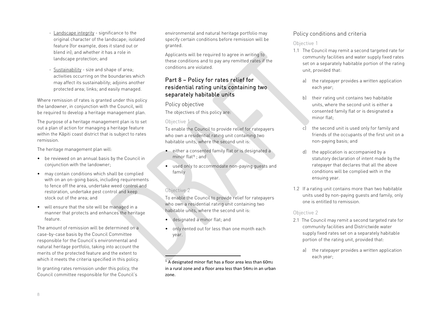- Landscape integrity significance to the original character of the landscape; isolated feature (for example, does it stand out or blend in); and whether it has a role in landscape protection; and
- Sustainability size and shape of area; activities occurring on the boundaries which may affect its sustainability; adjoins another protected area; links; and easily managed.

Where remission of rates is granted under this policy the landowner, in conjunction with the Council, will be required to develop a heritage management plan.

The purpose of a heritage management plan is to set out a plan of action for managing a heritage feature within the Kāpiti coast district that is subject to rates remission.

The heritage management plan will:

- be reviewed on an annual basis by the Council in conjunction with the landowner;
- may contain conditions which shall be complied with on an on-going basis, including requirements to fence off the area, undertake weed control and restoration, undertake pest control and keep stock out of the area; and
- will ensure that the site will be managed in a manner that protects and enhances the heritage feature.

The amount of remission will be determined on a case-by-case basis by the Council Committee responsible for the Council's environmental and natural heritage portfolio, taking into account the merits of the protected feature and the extent to which it meets the criteria specified in this policy.

In granting rates remission under this policy, the Council committee responsible for the Council's environmental and natural heritage portfolio may specify certain conditions before remission will be granted.

Applicants will be required to agree in writing to these conditions and to pay any remitted rates if the conditions are violated.

## Part 8 – Policy for rates relief for residential rating units containing two separately habitable units

#### Policy objective

The objectives of this policy are:

#### Objective 1

To enable the Council to provide relief for ratepayers who own a residential rating unit containing two habitable units, where the second unit is:

- either a consented family flat or is designated a minor flat<sup>[1](#page-7-0)</sup> : and
- used only to accommodate non-paying guests and family

## Objective 2

To enable the Council to provide relief for ratepayers who own a residential rating unit containing two habitable units, where the second unit is:

- designated a minor flat; and
- only rented out for less than one month each year.

 $1 A$  designated minor flat has a floor area less than 60m<sub>2</sub> in a rural zone and a floor area less than  $54m<sub>2</sub>$  in an urban zone.

## <span id="page-7-0"></span>Policy conditions and criteria

## Objective 1

- 1.1 The Council may remit a second targeted rate for community facilities and water supply fixed rates set on a separately habitable portion of the rating unit, provided that:
	- a) the ratepayer provides a written application each year;
	- b) their rating unit contains two habitable units, where the second unit is either a consented family flat or is designated a minor flat;
	- c) the second unit is used only for family and friends of the occupants of the first unit on a non-paying basis; and
	- d) the application is accompanied by a statutory declaration of intent made by the ratepayer that declares that all the above conditions will be complied with in the ensuing year.
- 1.2 If a rating unit contains more than two habitable units used by non-paying guests and family, only one is entitled to remission.

## Objective 2

- 2.1 The Council may remit a second targeted rate for community facilities and Districtwide water supply fixed rates set on a separately habitable portion of the rating unit, provided that:
	- a) the ratepayer provides a written application each year;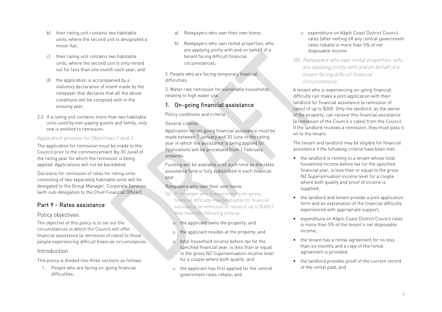- b) their rating unit contains two habitable units, where the second unit is designated a minor flat;
- c) their rating unit contains two habitable units; where the second unit is only rented out for less than one month each year; and
- d) the application is accompanied by a statutory declaration of intent made by the ratepayer that declares that all the above conditions will be complied with in the ensuing year.
- 2.2 If a rating unit contains more than two habitable units used by non-paying guests and family, only one is entitled to remission.

Application process for Objectives 1 and 2

The application for remission must be made to the Council prior to the commencement (by 30 June) of the rating year for which the remission is being applied. Applications will not be backdated.

Decisions for remission of rates for rating units consisting of two separately habitable units will be delegated to the Group Manager, Corporate Services (with sub-delegation to the Chief Financial Officer).

## Part 9 - Rates assistance

## Policy objectives

The objective of this policy is to set out the circumstances in which the Council will offer financial assistance (a remission of rates) to those people experiencing difficult financial circumstances.

## Introduction

This policy is divided into three sections as follows:

1. People who are facing on-going financial difficulties:

- a) Ratepayers who own their own home;
- b) Ratepayers who own rental properties, who are applying jointly with and on behalf of a tenant facing difficult financial circumstances;

2. People who are facing temporary financial difficulties.

3. Water rate remission for vulnerable households relating to high water use.

## 1. On-going financial assistance

Policy conditions and criteria

## General criteria

Application for on-going financial assistance must be made between 1 January and 30 June in the rating year in which the assistance is being applied for. Applications will be processed from 1 February onwards.

Funding will be available until such time as the rates assistance fund is fully subscribed in each financial year.

## Ratepayers who own their own home

- (A) A ratepayer who is experiencing on-going financial difficulty may be eligible for financial assistance (a remission of rates) of up to \$300 if they meet the following criteria:
	- o the applicant owns the property; and
	- o the applicant resides at the property; and
	- total household income before tax for the specified financial year, is less than or equal to the gross NZ Superannuation income level for a couple where both qualify; and
	- o the applicant has first applied for the central government rates rebate; and
- o expenditure on Kāpiti Coast District Council rates (after netting off any central government rates rebate) is more than 5% of net disposable income.
- (B) Ratepayers who own rental properties, who are applying jointly with and on behalf of a tenant facing difficult financial circumstances

A tenant who is experiencing on-going financial difficulty can make a joint application with their landlord for financial assistance (a remission of rates) of up to \$300. Only the landlord, as the owner of the property, can receive this financial assistance (a remission of the Council's rates) from the Council. If the landlord receives a remission, they must pass it on to the tenant.

The tenant and landlord may be eligible for financial assistance if the following criteria have been met:

- the landlord is renting to a tenant whose total household income before tax for the specified financial year, is less than or equal to the gross NZ Superannuation income level for a couple where both qualify and proof of income is supplied;
- the landlord and tenant provide a joint application form and an explanation of the financial difficulty experienced with appropriate support;
- expenditure on Kāpiti Coast District Council rates is more than 5% of the tenant's net disposable income;
- the tenant has a rental agreement for no less than six months and a copy of the rental agreement is provided;
- the landlord provides proof of the current record of the rental paid; and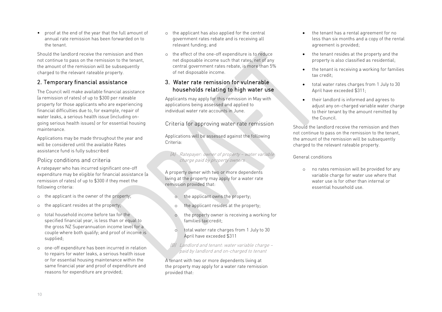10

• proof at the end of the year that the full amount of annual rate remission has been forwarded on to the tenant.

Should the landlord receive the remission and then not continue to pass on the remission to the tenant, the amount of the remission will be subsequently charged to the relevant rateable property.

## 2. Temporary financial assistance

The Council will make available financial assistance (a remission of rates) of up to \$300 per rateable property for those applicants who are experiencing financial difficulties due to, for example, repair of water leaks, a serious health issue (including ongoing serious health issues) or for essential housing maintenance.

Applications may be made throughout the year and will be considered until the available Rates assistance fund is fully subscribed

Policy conditions and criteria

A ratepayer who has incurred significant one-off expenditure may be eligible for financial assistance (a remission of rates) of up to \$300 if they meet the following criteria:

- o the applicant is the owner of the property;
- o the applicant resides at the property;
- o total household income before tax for the specified financial year, is less than or equal to the gross NZ Superannuation income level for a couple where both qualify; and proof of income is supplied;
- o one-off expenditure has been incurred in relation to repairs for water leaks, a serious health issue or for essential housing maintenance within the same financial year and proof of expenditure and reasons for expenditure are provided;
- o the applicant has also applied for the central government rates rebate and is receiving all relevant funding; and
- o the effect of the one-off expenditure is to reduce net disposable income such that rates, net of any central government rates rebate, is more than 5% of net disposable income.

## 3. Water rate remission for vulnerable households relating to high water use

Applicants may apply for this remission in May with applications being assessed and applied to individual water rate accounts in June.

Criteria for approving water rate remission

Applications will be assessed against the following Criteria:

(A) Ratepayer: owner of property – water variable charge paid by property owners

A property owner with two or more dependents living at the property may apply for a water rate remission provided that:

- o the applicant owns the property;
- o the applicant resides at the property;
- the property owner is receiving a working for families tax credit;
- o total water rate charges from 1 July to 30 April have exceeded \$311
- (B) Landlord and tenant: water variable charge paid by landlord and on-charged to tenant

A tenant with two or more dependents living at the property may apply for a water rate remission provided that:

- the tenant has a rental agreement for no less than six months and a copy of the rental agreement is provided;
- the tenant resides at the property and the property is also classified as residential;
- the tenant is receiving a working for families tax credit;
- total water rates charges from 1 July to 30 April have exceeded \$311;
- their landlord is informed and agrees to adjust any on-charged variable water charge to their tenant by the amount remitted by the Council.

Should the landlord receive the remission and then not continue to pass on the remission to the tenant, the amount of the remission will be subsequently charged to the relevant rateable property.

#### General conditions

o no rates remission will be provided for any variable charge for water use where that water use is for other than internal or essential household use.